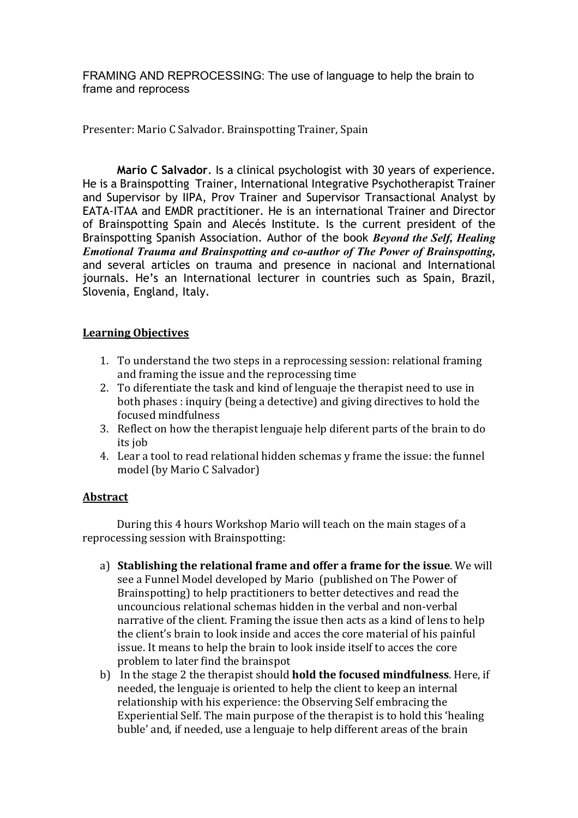FRAMING AND REPROCESSING: The use of language to help the brain to frame and reprocess

Presenter: Mario C Salvador. Brainspotting Trainer, Spain

**Mario C Salvador**. Is a clinical psychologist with 30 years of experience. He is a Brainspotting Trainer, International Integrative Psychotherapist Trainer and Supervisor by IIPA, Prov Trainer and Supervisor Transactional Analyst by EATA-ITAA and EMDR practitioner. He is an international Trainer and Director of Brainspotting Spain and Alecés Institute. Is the current president of the Brainspotting Spanish Association. Author of the book *Beyond the Self, Healing Emotional Trauma and Brainspotting and co-author of The Power of Brainspotting,*  and several articles on trauma and presence in nacional and International journals. He's an International lecturer in countries such as Spain, Brazil, Slovenia, England, Italy.

## **Learning Objectives**

- 1. To understand the two steps in a reprocessing session: relational framing and framing the issue and the reprocessing time
- 2. To diferentiate the task and kind of lenguaje the therapist need to use in both phases : inquiry (being a detective) and giving directives to hold the focused mindfulness
- 3. Reflect on how the therapist lenguaje help diferent parts of the brain to do its job
- 4. Lear a tool to read relational hidden schemas y frame the issue: the funnel model (by Mario C Salvador)

## **Abstract**

During this 4 hours Workshop Mario will teach on the main stages of a reprocessing session with Brainspotting:

- a) **Stablishing the relational frame and offer a frame for the issue**. We will see a Funnel Model developed by Mario (published on The Power of Brainspotting) to help practitioners to better detectives and read the uncouncious relational schemas hidden in the verbal and non-verbal narrative of the client. Framing the issue then acts as a kind of lens to help the client's brain to look inside and acces the core material of his painful issue. It means to help the brain to look inside itself to acces the core problem to later find the brainspot
- b) In the stage 2 the therapist should **hold the focused mindfulness**. Here, if needed, the lenguaje is oriented to help the client to keep an internal relationship with his experience: the Observing Self embracing the Experiential Self. The main purpose of the therapist is to hold this 'healing buble' and, if needed, use a lenguaje to help different areas of the brain